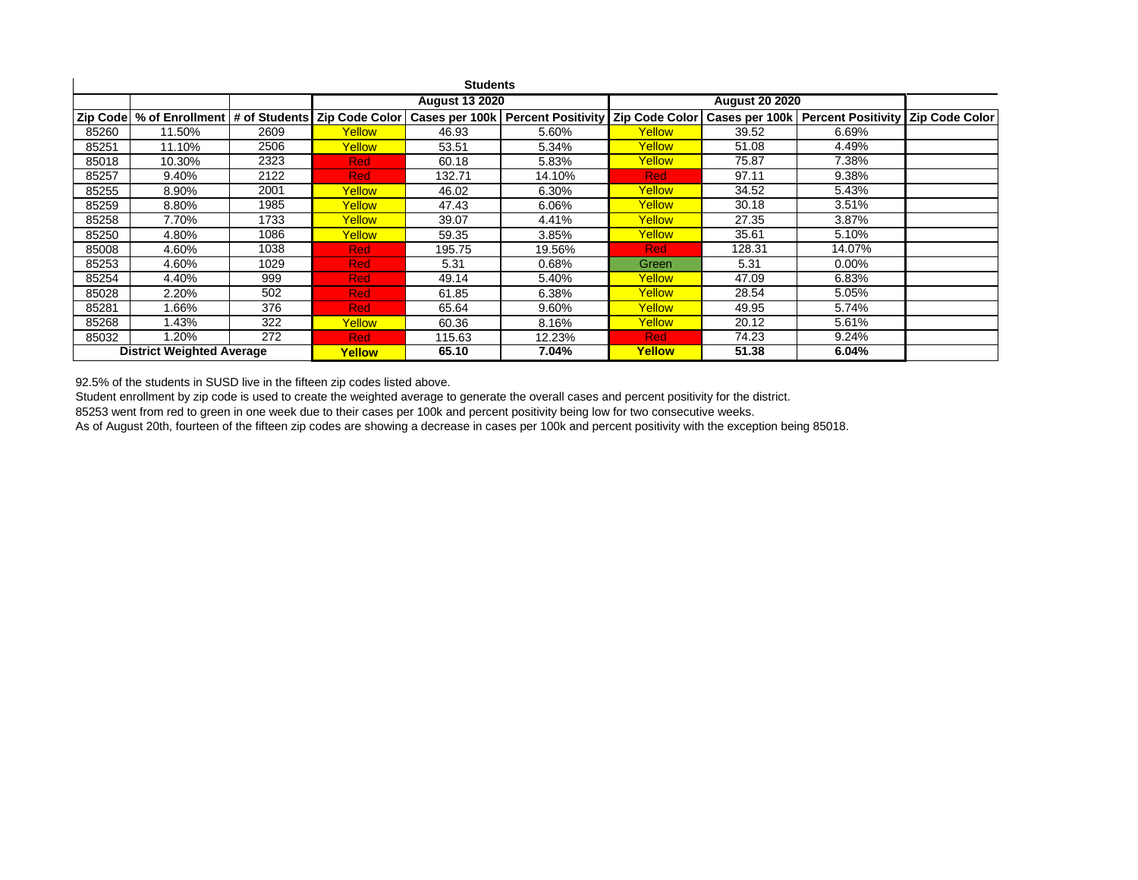| <b>Students</b>                  |        |      |                       |        |                                                                                                   |                       |        |                                                                       |  |  |
|----------------------------------|--------|------|-----------------------|--------|---------------------------------------------------------------------------------------------------|-----------------------|--------|-----------------------------------------------------------------------|--|--|
|                                  |        |      | <b>August 13 2020</b> |        |                                                                                                   | <b>August 20 2020</b> |        |                                                                       |  |  |
|                                  |        |      |                       |        | Zip Code   % of Enrollment   # of Students   Zip Code Color   Cases per 100k   Percent Positivity |                       |        | Zip Code Color   Cases per 100k   Percent Positivity   Zip Code Color |  |  |
| 85260                            | 11.50% | 2609 | Yellow                | 46.93  | 5.60%                                                                                             | Yellow                | 39.52  | 6.69%                                                                 |  |  |
| 85251                            | 11.10% | 2506 | Yellow                | 53.51  | 5.34%                                                                                             | Yellow                | 51.08  | 4.49%                                                                 |  |  |
| 85018                            | 10.30% | 2323 | <b>Red</b>            | 60.18  | 5.83%                                                                                             | Yellow                | 75.87  | 7.38%                                                                 |  |  |
| 85257                            | 9.40%  | 2122 | <b>Red</b>            | 132.71 | 14.10%                                                                                            | <b>Red</b>            | 97.11  | 9.38%                                                                 |  |  |
| 85255                            | 8.90%  | 2001 | Yellow                | 46.02  | 6.30%                                                                                             | Yellow                | 34.52  | 5.43%                                                                 |  |  |
| 85259                            | 8.80%  | 1985 | Yellow                | 47.43  | 6.06%                                                                                             | Yellow                | 30.18  | 3.51%                                                                 |  |  |
| 85258                            | 7.70%  | 1733 | Yellow                | 39.07  | 4.41%                                                                                             | Yellow                | 27.35  | 3.87%                                                                 |  |  |
| 85250                            | 4.80%  | 1086 | Yellow                | 59.35  | 3.85%                                                                                             | Yellow                | 35.61  | 5.10%                                                                 |  |  |
| 85008                            | 4.60%  | 1038 | <b>Red</b>            | 195.75 | 19.56%                                                                                            | <b>Red</b>            | 128.31 | 14.07%                                                                |  |  |
| 85253                            | 4.60%  | 1029 | <b>Red</b>            | 5.31   | $0.68\%$                                                                                          | Green                 | 5.31   | $0.00\%$                                                              |  |  |
| 85254                            | 4.40%  | 999  | <b>Red</b>            | 49.14  | 5.40%                                                                                             | Yellow                | 47.09  | 6.83%                                                                 |  |  |
| 85028                            | 2.20%  | 502  | <b>Red</b>            | 61.85  | 6.38%                                                                                             | Yellow                | 28.54  | 5.05%                                                                 |  |  |
| 85281                            | .66%   | 376  | <b>Red</b>            | 65.64  | 9.60%                                                                                             | Yellow                | 49.95  | 5.74%                                                                 |  |  |
| 85268                            | .43%   | 322  | Yellow                | 60.36  | 8.16%                                                                                             | Yellow                | 20.12  | 5.61%                                                                 |  |  |
| 85032                            | .20%   | 272  | <b>Red</b>            | 115.63 | 12.23%                                                                                            | <b>Red</b>            | 74.23  | 9.24%                                                                 |  |  |
| <b>District Weighted Average</b> |        |      | Yellow                | 65.10  | 7.04%                                                                                             | Yellow                | 51.38  | 6.04%                                                                 |  |  |

92.5% of the students in SUSD live in the fifteen zip codes listed above.

Student enrollment by zip code is used to create the weighted average to generate the overall cases and percent positivity for the district.

85253 went from red to green in one week due to their cases per 100k and percent positivity being low for two consecutive weeks.

As of August 20th, fourteen of the fifteen zip codes are showing a decrease in cases per 100k and percent positivity with the exception being 85018.